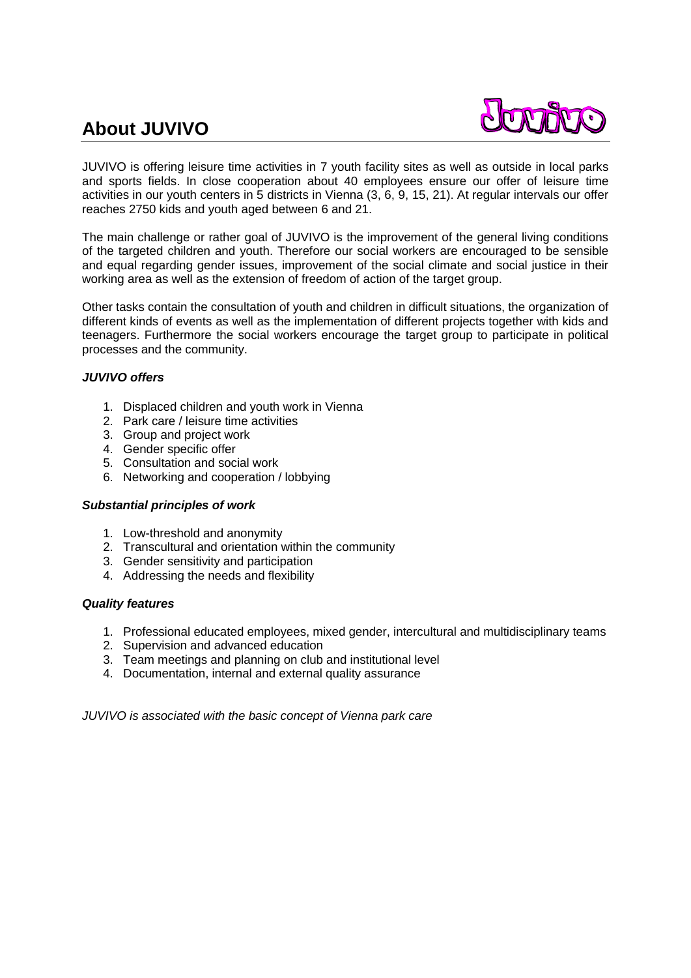# **About JUVIVO**



JUVIVO is offering leisure time activities in 7 youth facility sites as well as outside in local parks and sports fields. In close cooperation about 40 employees ensure our offer of leisure time activities in our youth centers in 5 districts in Vienna (3, 6, 9, 15, 21). At regular intervals our offer reaches 2750 kids and youth aged between 6 and 21.

The main challenge or rather goal of JUVIVO is the improvement of the general living conditions of the targeted children and youth. Therefore our social workers are encouraged to be sensible and equal regarding gender issues, improvement of the social climate and social justice in their working area as well as the extension of freedom of action of the target group.

Other tasks contain the consultation of youth and children in difficult situations, the organization of different kinds of events as well as the implementation of different projects together with kids and teenagers. Furthermore the social workers encourage the target group to participate in political processes and the community.

## *JUVIVO offers*

- 1. Displaced children and youth work in Vienna
- 2. Park care / leisure time activities
- 3. Group and project work
- 4. Gender specific offer
- 5. Consultation and social work
- 6. Networking and cooperation / lobbying

## *Substantial principles of work*

- 1. Low-threshold and anonymity
- 2. Transcultural and orientation within the community
- 3. Gender sensitivity and participation
- 4. Addressing the needs and flexibility

## *Quality features*

- 1. Professional educated employees, mixed gender, intercultural and multidisciplinary teams
- 2. Supervision and advanced education
- 3. Team meetings and planning on club and institutional level
- 4. Documentation, internal and external quality assurance

*JUVIVO is associated with the basic concept of Vienna park care*